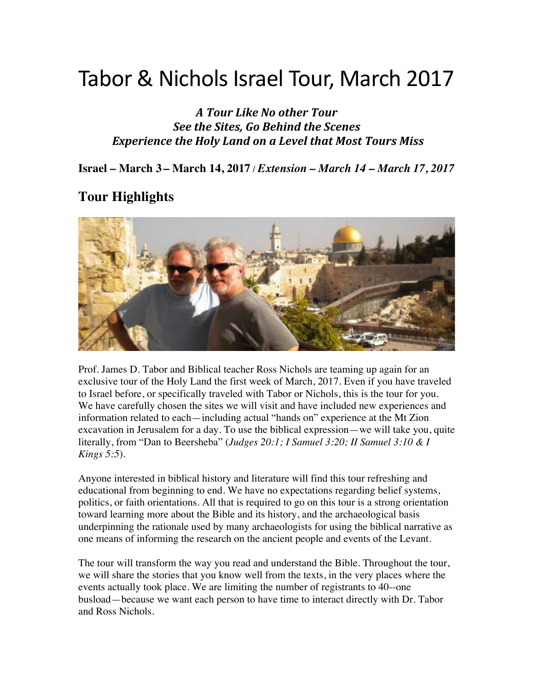# Tabor & Nichols Israel Tour, March 2017

*A Tour Like No other Tour See the Sites, Go Behind the Scenes* Experience the Holy Land on a Level that Most Tours Miss

**Israel – March 3 – March 14, 2017** / *Extension – March 14 – March 17, 2017*

#### **Tour Highlights**



Prof. James D. Tabor and Biblical teacher Ross Nichols are teaming up again for an exclusive tour of the Holy Land the first week of March, 2017. Even if you have traveled to Israel before, or specifically traveled with Tabor or Nichols, this is the tour for you. We have carefully chosen the sites we will visit and have included new experiences and information related to each—including actual "hands on" experience at the Mt Zion excavation in Jerusalem for a day. To use the biblical expression—we will take you, quite literally, from "Dan to Beersheba" (*Judges 20:1; I Samuel 3:20; II Samuel 3:10 & I Kings 5:5*).

Anyone interested in biblical history and literature will find this tour refreshing and educational from beginning to end. We have no expectations regarding belief systems, politics, or faith orientations. All that is required to go on this tour is a strong orientation toward learning more about the Bible and its history, and the archaeological basis underpinning the rationale used by many archaeologists for using the biblical narrative as one means of informing the research on the ancient people and events of the Levant.

The tour will transform the way you read and understand the Bible. Throughout the tour, we will share the stories that you know well from the texts, in the very places where the events actually took place. We are limiting the number of registrants to 40--one busload—because we want each person to have time to interact directly with Dr. Tabor and Ross Nichols.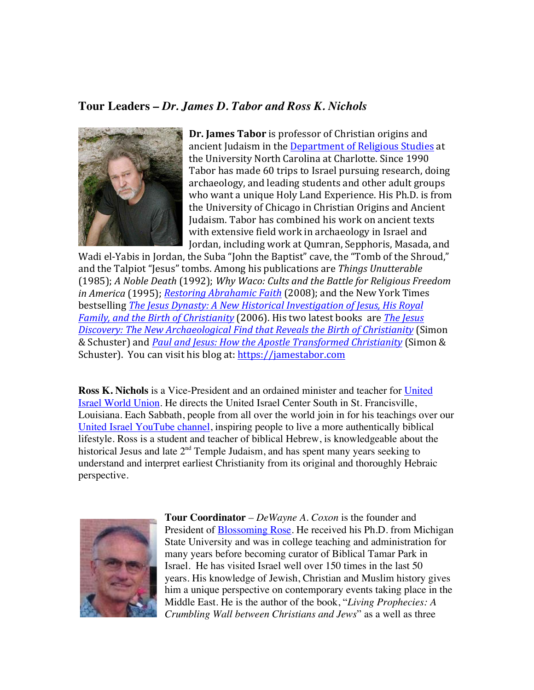#### **Tour Leaders** *– Dr. James D. Tabor and Ross K. Nichols*



**Dr. James Tabor** is professor of Christian origins and ancient Judaism in the Department of Religious Studies at the University North Carolina at Charlotte. Since 1990 Tabor has made 60 trips to Israel pursuing research, doing archaeology, and leading students and other adult groups who want a unique Holy Land Experience. His Ph.D. is from the University of Chicago in Christian Origins and Ancient Judaism. Tabor has combined his work on ancient texts with extensive field work in archaeology in Israel and Jordan, including work at Qumran, Sepphoris, Masada, and

Wadi el-Yabis in Jordan, the Suba "John the Baptist" cave, the "Tomb of the Shroud," and the Talpiot "Jesus" tombs. Among his publications are *Things Unutterable* (1985); A Noble Death (1992); Why Waco: Cults and the Battle for Religious Freedom *in America* (1995); *Restoring Abrahamic Faith* (2008); and the New York Times bestselling *The Jesus Dynasty: A New Historical Investigation of Jesus, His Royal Family, and the Birth of Christianity* (2006). His two latest books are *The Jesus Discovery: The New Archaeological Find that Reveals the Birth of Christianity* (Simon & Schuster) and *Paul and Jesus: How the Apostle Transformed Christianity* (Simon & Schuster). You can visit his blog at: https://jamestabor.com

**Ross K. Nichols** is a Vice-President and an ordained minister and teacher for United Israel World Union. He directs the United Israel Center South in St. Francisville, Louisiana. Each Sabbath, people from all over the world join in for his teachings over our United Israel YouTube channel, inspiring people to live a more authentically biblical lifestyle. Ross is a student and teacher of biblical Hebrew, is knowledgeable about the historical Jesus and late  $2<sup>nd</sup>$  Temple Judaism, and has spent many years seeking to understand and interpret earliest Christianity from its original and thoroughly Hebraic perspective.



**Tour Coordinator** *– DeWayne A. Coxon* is the founder and President of Blossoming Rose. He received his Ph.D. from Michigan State University and was in college teaching and administration for many years before becoming curator of Biblical Tamar Park in Israel. He has visited Israel well over 150 times in the last 50 years. His knowledge of Jewish, Christian and Muslim history gives him a unique perspective on contemporary events taking place in the Middle East. He is the author of the book, "*Living Prophecies: A Crumbling Wall between Christians and Jews*" as a well as three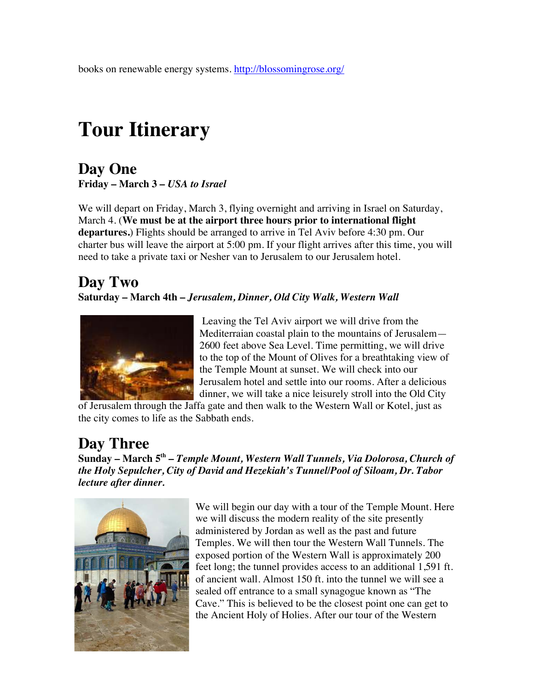books on renewable energy systems. http://blossomingrose.org/

# **Tour Itinerary**

#### **Day One Friday – March 3 –** *USA to Israel*

We will depart on Friday, March 3, flying overnight and arriving in Israel on Saturday, March 4. (**We must be at the airport three hours prior to international flight departures.**) Flights should be arranged to arrive in Tel Aviv before 4:30 pm. Our charter bus will leave the airport at 5:00 pm. If your flight arrives after this time, you will need to take a private taxi or Nesher van to Jerusalem to our Jerusalem hotel.

### **Day Two Saturday – March 4th –** *Jerusalem, Dinner, Old City Walk, Western Wall*



 Leaving the Tel Aviv airport we will drive from the Mediterraian coastal plain to the mountains of Jerusalem— 2600 feet above Sea Level. Time permitting, we will drive to the top of the Mount of Olives for a breathtaking view of the Temple Mount at sunset. We will check into our Jerusalem hotel and settle into our rooms. After a delicious dinner, we will take a nice leisurely stroll into the Old City

of Jerusalem through the Jaffa gate and then walk to the Western Wall or Kotel, just as the city comes to life as the Sabbath ends.

# **Day Three**

**Sunday – March 5th –** *Temple Mount, Western Wall Tunnels, Via Dolorosa, Church of the Holy Sepulcher, City of David and Hezekiah's Tunnel/Pool of Siloam, Dr. Tabor lecture after dinner.* 



We will begin our day with a tour of the Temple Mount. Here we will discuss the modern reality of the site presently administered by Jordan as well as the past and future Temples. We will then tour the Western Wall Tunnels. The exposed portion of the Western Wall is approximately 200 feet long; the tunnel provides access to an additional 1,591 ft. of ancient wall. Almost 150 ft. into the tunnel we will see a sealed off entrance to a small synagogue known as "The Cave." This is believed to be the closest point one can get to the Ancient Holy of Holies. After our tour of the Western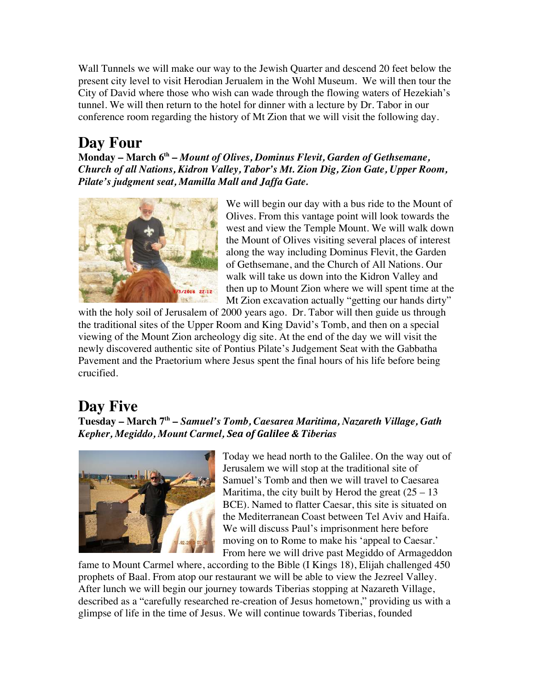Wall Tunnels we will make our way to the Jewish Quarter and descend 20 feet below the present city level to visit Herodian Jerualem in the Wohl Museum. We will then tour the City of David where those who wish can wade through the flowing waters of Hezekiah's tunnel. We will then return to the hotel for dinner with a lecture by Dr. Tabor in our conference room regarding the history of Mt Zion that we will visit the following day.

## **Day Four**

**Monday – March 6th –** *Mount of Olives, Dominus Flevit, Garden of Gethsemane, Church of all Nations, Kidron Valley, Tabor's Mt. Zion Dig, Zion Gate, Upper Room, Pilate's judgment seat, Mamilla Mall and Jaffa Gate.* 



We will begin our day with a bus ride to the Mount of Olives. From this vantage point will look towards the west and view the Temple Mount. We will walk down the Mount of Olives visiting several places of interest along the way including Dominus Flevit, the Garden of Gethsemane, and the Church of All Nations. Our walk will take us down into the Kidron Valley and then up to Mount Zion where we will spent time at the Mt Zion excavation actually "getting our hands dirty"

with the holy soil of Jerusalem of 2000 years ago. Dr. Tabor will then guide us through the traditional sites of the Upper Room and King David's Tomb, and then on a special viewing of the Mount Zion archeology dig site. At the end of the day we will visit the newly discovered authentic site of Pontius Pilate's Judgement Seat with the Gabbatha Pavement and the Praetorium where Jesus spent the final hours of his life before being crucified.

### **Day Five**

**Tuesday – March 7th –** *Samuel's Tomb, Caesarea Maritima, Nazareth Village, Gath Kepher, Megiddo, Mount Carmel, Sea of Galilee & Tiberias* 



Today we head north to the Galilee. On the way out of Jerusalem we will stop at the traditional site of Samuel's Tomb and then we will travel to Caesarea Maritima, the city built by Herod the great  $(25 - 13)$ BCE). Named to flatter Caesar, this site is situated on the Mediterranean Coast between Tel Aviv and Haifa. We will discuss Paul's imprisonment here before moving on to Rome to make his 'appeal to Caesar.' From here we will drive past Megiddo of Armageddon

fame to Mount Carmel where, according to the Bible (I Kings 18), Elijah challenged 450 prophets of Baal. From atop our restaurant we will be able to view the Jezreel Valley. After lunch we will begin our journey towards Tiberias stopping at Nazareth Village, described as a "carefully researched re-creation of Jesus hometown," providing us with a glimpse of life in the time of Jesus. We will continue towards Tiberias, founded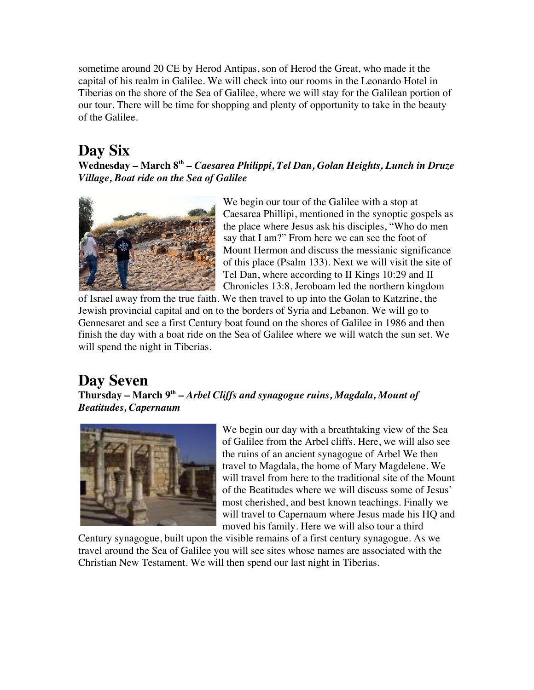sometime around 20 CE by Herod Antipas, son of Herod the Great, who made it the capital of his realm in Galilee. We will check into our rooms in the Leonardo Hotel in Tiberias on the shore of the Sea of Galilee, where we will stay for the Galilean portion of our tour. There will be time for shopping and plenty of opportunity to take in the beauty of the Galilee.

## **Day Six**

**Wednesday – March 8th –** *Caesarea Philippi, Tel Dan, Golan Heights, Lunch in Druze Village, Boat ride on the Sea of Galilee* 



We begin our tour of the Galilee with a stop at Caesarea Phillipi, mentioned in the synoptic gospels as the place where Jesus ask his disciples, "Who do men say that I am?" From here we can see the foot of Mount Hermon and discuss the messianic significance of this place (Psalm 133). Next we will visit the site of Tel Dan, where according to II Kings 10:29 and II Chronicles 13:8, Jeroboam led the northern kingdom

of Israel away from the true faith. We then travel to up into the Golan to Katzrine, the Jewish provincial capital and on to the borders of Syria and Lebanon. We will go to Gennesaret and see a first Century boat found on the shores of Galilee in 1986 and then finish the day with a boat ride on the Sea of Galilee where we will watch the sun set. We will spend the night in Tiberias.

## **Day Seven**

**Thursday – March 9th –** *Arbel Cliffs and synagogue ruins, Magdala, Mount of Beatitudes, Capernaum* 



We begin our day with a breathtaking view of the Sea of Galilee from the Arbel cliffs. Here, we will also see the ruins of an ancient synagogue of Arbel We then travel to Magdala, the home of Mary Magdelene. We will travel from here to the traditional site of the Mount of the Beatitudes where we will discuss some of Jesus' most cherished, and best known teachings. Finally we will travel to Capernaum where Jesus made his HQ and moved his family. Here we will also tour a third

Century synagogue, built upon the visible remains of a first century synagogue. As we travel around the Sea of Galilee you will see sites whose names are associated with the Christian New Testament. We will then spend our last night in Tiberias.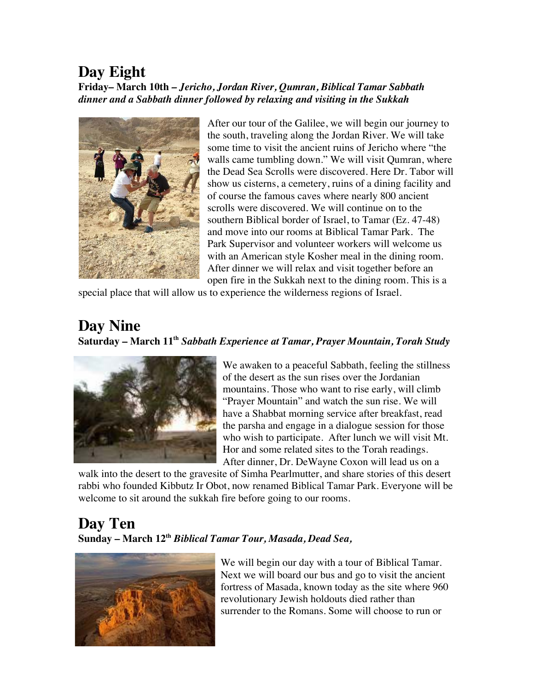### **Day Eight**

**Friday– March 10th** *– Jericho, Jordan River, Qumran, Biblical Tamar Sabbath dinner and a Sabbath dinner followed by relaxing and visiting in the Sukkah* 



After our tour of the Galilee, we will begin our journey to the south, traveling along the Jordan River. We will take some time to visit the ancient ruins of Jericho where "the walls came tumbling down." We will visit Qumran, where the Dead Sea Scrolls were discovered. Here Dr. Tabor will show us cisterns, a cemetery, ruins of a dining facility and of course the famous caves where nearly 800 ancient scrolls were discovered. We will continue on to the southern Biblical border of Israel, to Tamar (Ez. 47-48) and move into our rooms at Biblical Tamar Park. The Park Supervisor and volunteer workers will welcome us with an American style Kosher meal in the dining room. After dinner we will relax and visit together before an open fire in the Sukkah next to the dining room. This is a

special place that will allow us to experience the wilderness regions of Israel.

## **Day Nine**

#### **Saturday – March 11th** *Sabbath Experience at Tamar, Prayer Mountain, Torah Study*



We awaken to a peaceful Sabbath, feeling the stillness of the desert as the sun rises over the Jordanian mountains. Those who want to rise early, will climb "Prayer Mountain" and watch the sun rise. We will have a Shabbat morning service after breakfast, read the parsha and engage in a dialogue session for those who wish to participate. After lunch we will visit Mt. Hor and some related sites to the Torah readings. After dinner, Dr. DeWayne Coxon will lead us on a

walk into the desert to the gravesite of Simha Pearlmutter, and share stories of this desert rabbi who founded Kibbutz Ir Obot, now renamed Biblical Tamar Park. Everyone will be welcome to sit around the sukkah fire before going to our rooms.

### **Day Ten Sunday – March 12th** *Biblical Tamar Tour, Masada, Dead Sea,*



We will begin our day with a tour of Biblical Tamar. Next we will board our bus and go to visit the ancient fortress of Masada, known today as the site where 960 revolutionary Jewish holdouts died rather than surrender to the Romans. Some will choose to run or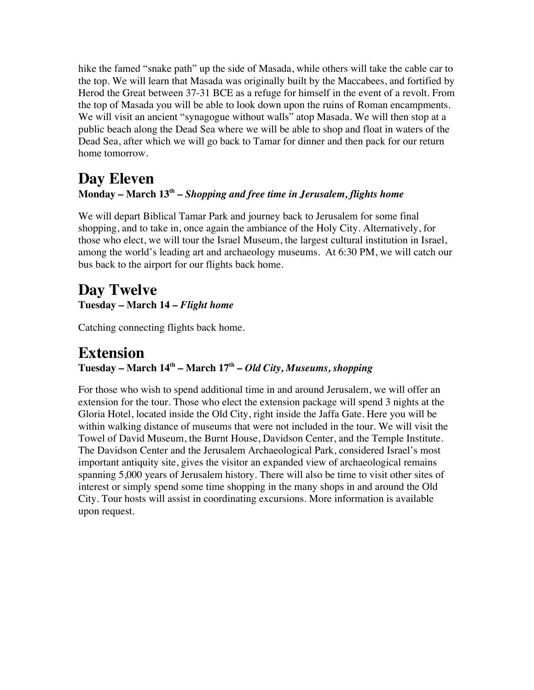hike the famed "snake path" up the side of Masada, while others will take the cable car to the top. We will learn that Masada was originally built by the Maccabees, and fortified by Herod the Great between 37-31 BCE as a refuge for himself in the event of a revolt. From the top of Masada you will be able to look down upon the ruins of Roman encampments. We will visit an ancient "synagogue without walls" atop Masada. We will then stop at a public beach along the Dead Sea where we will be able to shop and float in waters of the Dead Sea, after which we will go back to Tamar for dinner and then pack for our return home tomorrow.

#### **Day Eleven Monday – March 13th –** *Shopping and free time in Jerusalem, flights home*

We will depart Biblical Tamar Park and journey back to Jerusalem for some final shopping, and to take in, once again the ambiance of the Holy City. Alternatively, for those who elect, we will tour the Israel Museum, the largest cultural institution in Israel, among the world's leading art and archaeology museums. At 6:30 PM, we will catch our bus back to the airport for our flights back home.

### **Day Twelve Tuesday – March 14 –** *Flight home*

Catching connecting flights back home.

#### **Extension Tuesday – March 14th – March 17th –** *Old City, Museums, shopping*

For those who wish to spend additional time in and around Jerusalem, we will offer an extension for the tour. Those who elect the extension package will spend 3 nights at the Gloria Hotel, located inside the Old City, right inside the Jaffa Gate. Here you will be within walking distance of museums that were not included in the tour. We will visit the Towel of David Museum, the Burnt House, Davidson Center, and the Temple Institute. The Davidson Center and the Jerusalem Archaeological Park, considered Israel's most important antiquity site, gives the visitor an expanded view of archaeological remains spanning 5,000 years of Jerusalem history. There will also be time to visit other sites of interest or simply spend some time shopping in the many shops in and around the Old City. Tour hosts will assist in coordinating excursions. More information is available upon request.